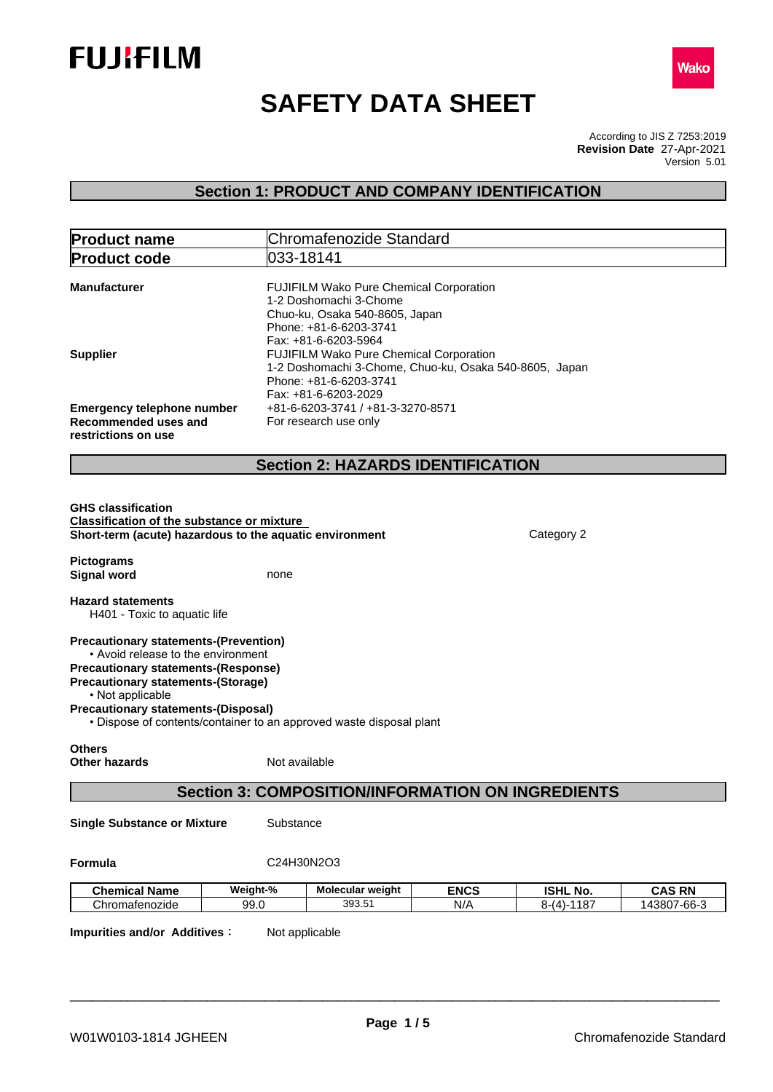



# **SAFETY DATA SHEET**

According to JIS Z 7253:2019 Version 5.01 **Revision Date** 27-Apr-2021

## **Section 1: PRODUCT AND COMPANY IDENTIFICATION**

| 033-18141<br><b>Product code</b><br>FUJIFILM Wako Pure Chemical Corporation<br><b>Manufacturer</b><br>1-2 Doshomachi 3-Chome<br>Chuo-ku, Osaka 540-8605, Japan<br>Phone: +81-6-6203-3741<br>Fax: +81-6-6203-5964<br>FUJIFILM Wako Pure Chemical Corporation<br><b>Supplier</b><br>1-2 Doshomachi 3-Chome, Chuo-ku, Osaka 540-8605, Japan<br>Phone: +81-6-6203-3741<br>Fax: +81-6-6203-2029<br>+81-6-6203-3741 / +81-3-3270-8571<br><b>Emergency telephone number</b><br>Recommended uses and<br>For research use only<br>restrictions on use<br><b>Section 2: HAZARDS IDENTIFICATION</b><br><b>GHS classification</b><br><b>Classification of the substance or mixture</b><br>Short-term (acute) hazardous to the aquatic environment<br>Category 2<br><b>Pictograms</b><br><b>Signal word</b><br>none<br><b>Hazard statements</b><br>H401 - Toxic to aquatic life<br><b>Precautionary statements-(Prevention)</b><br>• Avoid release to the environment<br><b>Precautionary statements-(Response)</b><br><b>Precautionary statements-(Storage)</b><br>• Not applicable<br><b>Precautionary statements-(Disposal)</b><br>• Dispose of contents/container to an approved waste disposal plant<br><b>Others</b><br>Not available<br><b>Other hazards</b><br><b>Section 3: COMPOSITION/INFORMATION ON INGREDIENTS</b><br><b>Single Substance or Mixture</b><br>Substance<br>C24H30N2O3<br>Formula<br><b>ENCS</b><br><b>ISHL No.</b><br><b>Chemical Name</b><br>Weight-%<br>Molecular weight | <b>Product name</b> | Chromafenozide Standard |  |  |               |
|------------------------------------------------------------------------------------------------------------------------------------------------------------------------------------------------------------------------------------------------------------------------------------------------------------------------------------------------------------------------------------------------------------------------------------------------------------------------------------------------------------------------------------------------------------------------------------------------------------------------------------------------------------------------------------------------------------------------------------------------------------------------------------------------------------------------------------------------------------------------------------------------------------------------------------------------------------------------------------------------------------------------------------------------------------------------------------------------------------------------------------------------------------------------------------------------------------------------------------------------------------------------------------------------------------------------------------------------------------------------------------------------------------------------------------------------------------------------------------------|---------------------|-------------------------|--|--|---------------|
|                                                                                                                                                                                                                                                                                                                                                                                                                                                                                                                                                                                                                                                                                                                                                                                                                                                                                                                                                                                                                                                                                                                                                                                                                                                                                                                                                                                                                                                                                          |                     |                         |  |  |               |
|                                                                                                                                                                                                                                                                                                                                                                                                                                                                                                                                                                                                                                                                                                                                                                                                                                                                                                                                                                                                                                                                                                                                                                                                                                                                                                                                                                                                                                                                                          |                     |                         |  |  |               |
|                                                                                                                                                                                                                                                                                                                                                                                                                                                                                                                                                                                                                                                                                                                                                                                                                                                                                                                                                                                                                                                                                                                                                                                                                                                                                                                                                                                                                                                                                          |                     |                         |  |  |               |
|                                                                                                                                                                                                                                                                                                                                                                                                                                                                                                                                                                                                                                                                                                                                                                                                                                                                                                                                                                                                                                                                                                                                                                                                                                                                                                                                                                                                                                                                                          |                     |                         |  |  |               |
|                                                                                                                                                                                                                                                                                                                                                                                                                                                                                                                                                                                                                                                                                                                                                                                                                                                                                                                                                                                                                                                                                                                                                                                                                                                                                                                                                                                                                                                                                          |                     |                         |  |  |               |
|                                                                                                                                                                                                                                                                                                                                                                                                                                                                                                                                                                                                                                                                                                                                                                                                                                                                                                                                                                                                                                                                                                                                                                                                                                                                                                                                                                                                                                                                                          |                     |                         |  |  |               |
|                                                                                                                                                                                                                                                                                                                                                                                                                                                                                                                                                                                                                                                                                                                                                                                                                                                                                                                                                                                                                                                                                                                                                                                                                                                                                                                                                                                                                                                                                          |                     |                         |  |  |               |
|                                                                                                                                                                                                                                                                                                                                                                                                                                                                                                                                                                                                                                                                                                                                                                                                                                                                                                                                                                                                                                                                                                                                                                                                                                                                                                                                                                                                                                                                                          |                     |                         |  |  |               |
|                                                                                                                                                                                                                                                                                                                                                                                                                                                                                                                                                                                                                                                                                                                                                                                                                                                                                                                                                                                                                                                                                                                                                                                                                                                                                                                                                                                                                                                                                          |                     |                         |  |  |               |
|                                                                                                                                                                                                                                                                                                                                                                                                                                                                                                                                                                                                                                                                                                                                                                                                                                                                                                                                                                                                                                                                                                                                                                                                                                                                                                                                                                                                                                                                                          |                     |                         |  |  |               |
|                                                                                                                                                                                                                                                                                                                                                                                                                                                                                                                                                                                                                                                                                                                                                                                                                                                                                                                                                                                                                                                                                                                                                                                                                                                                                                                                                                                                                                                                                          |                     |                         |  |  |               |
|                                                                                                                                                                                                                                                                                                                                                                                                                                                                                                                                                                                                                                                                                                                                                                                                                                                                                                                                                                                                                                                                                                                                                                                                                                                                                                                                                                                                                                                                                          |                     |                         |  |  |               |
|                                                                                                                                                                                                                                                                                                                                                                                                                                                                                                                                                                                                                                                                                                                                                                                                                                                                                                                                                                                                                                                                                                                                                                                                                                                                                                                                                                                                                                                                                          |                     |                         |  |  |               |
|                                                                                                                                                                                                                                                                                                                                                                                                                                                                                                                                                                                                                                                                                                                                                                                                                                                                                                                                                                                                                                                                                                                                                                                                                                                                                                                                                                                                                                                                                          |                     |                         |  |  | <b>CAS RN</b> |
| Chromafenozide<br>393.51<br>N/A<br>$8-(4)-1187$<br>99.0                                                                                                                                                                                                                                                                                                                                                                                                                                                                                                                                                                                                                                                                                                                                                                                                                                                                                                                                                                                                                                                                                                                                                                                                                                                                                                                                                                                                                                  |                     |                         |  |  | 143807-66-3   |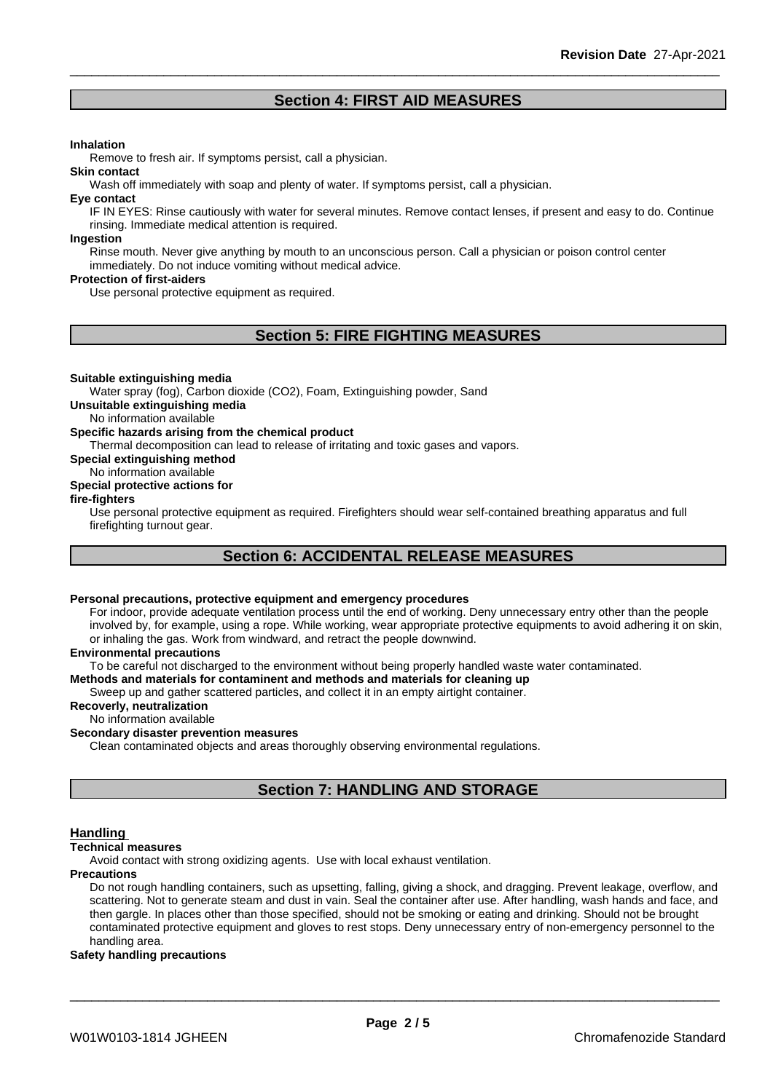### **Section 4: FIRST AID MEASURES**

### **Inhalation**

Remove to fresh air. If symptoms persist, call a physician.

Wash off immediately with soap and plenty of water. If symptoms persist, call a physician.

### **Eye contact**

**Skin contact**

IF IN EYES: Rinse cautiously with water for several minutes. Remove contact lenses, if present and easy to do. Continue rinsing. Immediate medical attention is required.

### **Ingestion**

Rinse mouth. Never give anything by mouth to an unconscious person. Call a physician or poison control center immediately. Do not induce vomiting without medical advice.

### **Protection of first-aiders**

Use personal protective equipment as required.

### **Section 5: FIRE FIGHTING MEASURES**

### **Suitable extinguishing media**

Water spray (fog), Carbon dioxide (CO2), Foam, Extinguishing powder, Sand

**Unsuitable extinguishing media**

No information available

### **Specific hazards arising from the chemical product**

Thermal decomposition can lead to release of irritating and toxic gases and vapors.

**Special extinguishing method**

### No information available

### **Special protective actions for**

### **fire-fighters**

Use personal protective equipment as required.Firefighters should wear self-contained breathing apparatus and full firefighting turnout gear.

### **Section 6: ACCIDENTAL RELEASE MEASURES**

### **Personal precautions, protective equipment and emergency procedures**

For indoor, provide adequate ventilation process until the end of working. Deny unnecessary entry other than the people involved by, for example, using a rope. While working, wear appropriate protective equipments to avoid adhering it on skin, or inhaling the gas. Work from windward, and retract the people downwind.

### **Environmental precautions**

To be careful not discharged to the environment without being properly handled waste water contaminated.

### **Methods and materials for contaminent and methods and materials for cleaning up**

Sweep up and gather scattered particles, and collect it in an empty airtight container.

### **Recoverly, neutralization**

### No information available

### **Secondary disaster prevention measures**

Clean contaminated objects and areas thoroughly observing environmental regulations.

### **Section 7: HANDLING AND STORAGE**

### **Handling**

### **Technical measures**

Avoid contact with strong oxidizing agents. Use with local exhaust ventilation.

### **Precautions**

Do not rough handling containers, such as upsetting, falling, giving a shock, and dragging. Prevent leakage, overflow, and scattering. Not to generate steam and dust in vain. Seal the container after use. After handling, wash hands and face, and then gargle. In places other than those specified, should not be smoking or eating and drinking. Should not be brought contaminated protective equipment and gloves to rest stops. Deny unnecessary entry of non-emergency personnel to the handling area.

### **Safety handling precautions**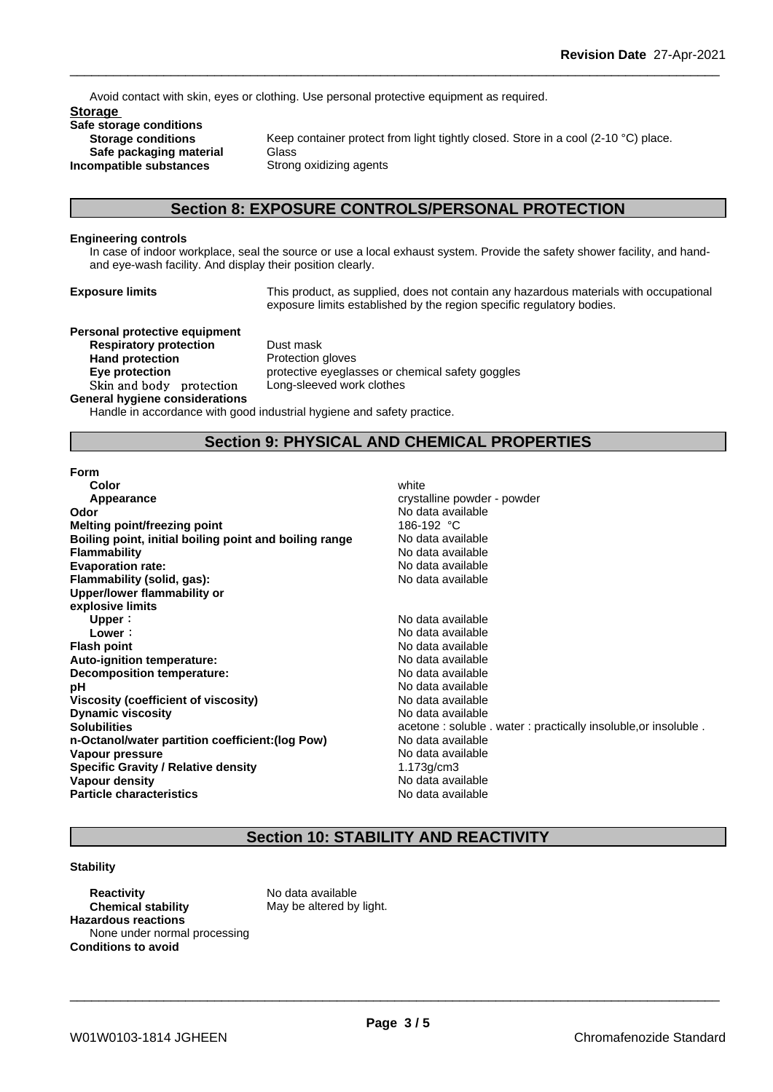Avoid contact with skin, eyes or clothing. Use personal protective equipment as required.

**Storage Safe storage conditions Safe packaging material** Glass<br>**ompatible substances** Strong oxidizing agents **Incompatible** substances

**Storage conditions** Keep container protect from light tightly closed. Store in a cool (2-10 °C) place.

### **Section 8: EXPOSURE CONTROLS/PERSONAL PROTECTION**

### **Engineering controls**

In case of indoor workplace, seal the source or use a local exhaust system. Provide the safety shower facility, and handand eye-wash facility. And display their position clearly.

**Exposure limits** This product, as supplied, does not contain any hazardous materials with occupational exposure limits established by the region specific regulatory bodies.

### **Personal protective equipment**

**Respiratory protection** Dust mask **Hand protection**<br> **Eye protection**<br> **Eye protection**<br> **Exercise** Skin and body protection Long-sleeved work clothes **General hygiene considerations**

**Eye protection** protective eyeglasses or chemical safety goggles

Handle in accordance with good industrial hygiene and safety practice.

### **Section 9: PHYSICAL AND CHEMICAL PROPERTIES**

### **Form**

| Color                                                  | white                                        |
|--------------------------------------------------------|----------------------------------------------|
| Appearance                                             | crystalline powder - powder                  |
| Odor                                                   | No data available                            |
| <b>Melting point/freezing point</b>                    | 186-192 °C                                   |
| Boiling point, initial boiling point and boiling range | No data available                            |
| <b>Flammability</b>                                    | No data available                            |
| <b>Evaporation rate:</b>                               | No data available                            |
| Flammability (solid, gas):                             | No data available                            |
| Upper/lower flammability or                            |                                              |
| explosive limits                                       |                                              |
| Upper:                                                 | No data available                            |
| Lower:                                                 | No data available                            |
| <b>Flash point</b>                                     | No data available                            |
| Auto-ignition temperature:                             | No data available                            |
| Decomposition temperature:                             | No data available                            |
| рH                                                     | No data available                            |
| <b>Viscosity (coefficient of viscosity)</b>            | No data available                            |
| <b>Dynamic viscosity</b>                               | No data available                            |
| <b>Solubilities</b>                                    | acetone: soluble . water: practically insolu |
| n-Octanol/water partition coefficient: (log Pow)       | No data available                            |
| Vapour pressure                                        | No data available                            |
| <b>Specific Gravity / Relative density</b>             | $1.173$ g/cm $3$                             |
| Vapour density                                         | No data available                            |
| <b>Particle characteristics</b>                        | No data available                            |
|                                                        |                                              |

# water : practically insoluble,or insoluble .

### **Section 10: STABILITY AND REACTIVITY**

### **Stability**

**Reactivity** No data available **Chemical stability** May be altered by light. **Hazardous reactions** None under normal processing **Conditions to avoid**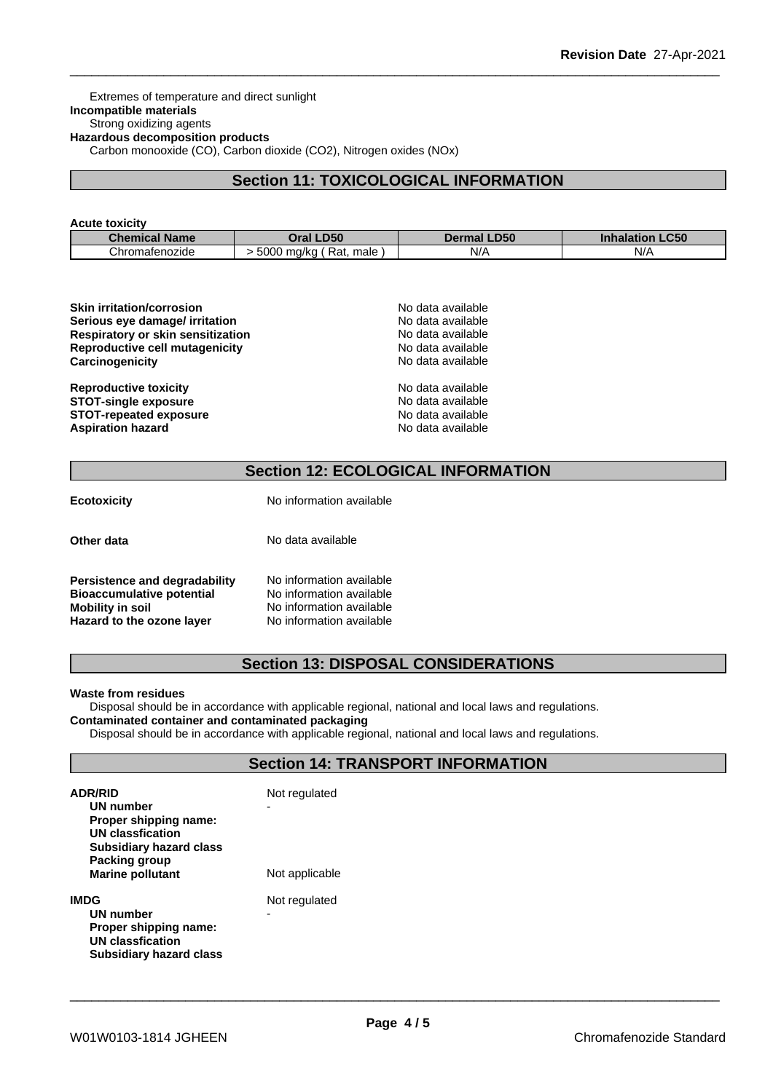Extremes of temperature and direct sunlight **Incompatible materials** Strong oxidizing agents **Hazardous decomposition products** Carbon monooxide (CO), Carbon dioxide (CO2), Nitrogen oxides (NOx)

### **Section 11: TOXICOLOGICAL INFORMATION**

### **Acute toxicity**

| <b>Chemical Name</b> | LD50                                | <b>LD50</b> | <b>_C50</b>       |
|----------------------|-------------------------------------|-------------|-------------------|
|                      | <b>Oral</b>                         | Dermal      | <b>Inhalation</b> |
| Chromatenozide       | 5000<br>male<br>-Rat.<br>ma/ka<br>. | N/A         | $N$ /<br>.        |

| <b>Skin irritation/corrosion</b>  | No data available |
|-----------------------------------|-------------------|
| Serious eye damage/ irritation    | No data available |
| Respiratory or skin sensitization | No data available |
| Reproductive cell mutagenicity    | No data available |
| Carcinogenicity                   | No data available |
| <b>Reproductive toxicity</b>      | No data available |
| <b>STOT-single exposure</b>       | No data available |
| <b>STOT-repeated exposure</b>     | No data available |
| <b>Aspiration hazard</b>          | No data available |

### **Section 12: ECOLOGICAL INFORMATION**

| <b>Ecotoxicity</b>                                                                    | No information available                                                         |  |  |
|---------------------------------------------------------------------------------------|----------------------------------------------------------------------------------|--|--|
| Other data                                                                            | No data available                                                                |  |  |
| Persistence and degradability<br><b>Bioaccumulative potential</b><br>Mobility in soil | No information available<br>No information available<br>No information available |  |  |

**Hazard to the ozone layer** No information available

### **Section 13: DISPOSAL CONSIDERATIONS**

### **Waste from residues**

Disposal should be in accordance with applicable regional, national and local laws and regulations. **Contaminated container and contaminated packaging**

Disposal should be in accordance with applicable regional, national and local laws and regulations.

### **Section 14: TRANSPORT INFORMATION**

| <b>ADR/RID</b><br>UN number<br>Proper shipping name:<br>UN classfication<br><b>Subsidiary hazard class</b><br>Packing group<br><b>Marine pollutant</b> | Not regulated<br>-<br>Not applicable |
|--------------------------------------------------------------------------------------------------------------------------------------------------------|--------------------------------------|
| IMDG<br>UN number<br>Proper shipping name:<br>UN classfication<br>Subsidiary hazard class                                                              | Not regulated<br>-                   |